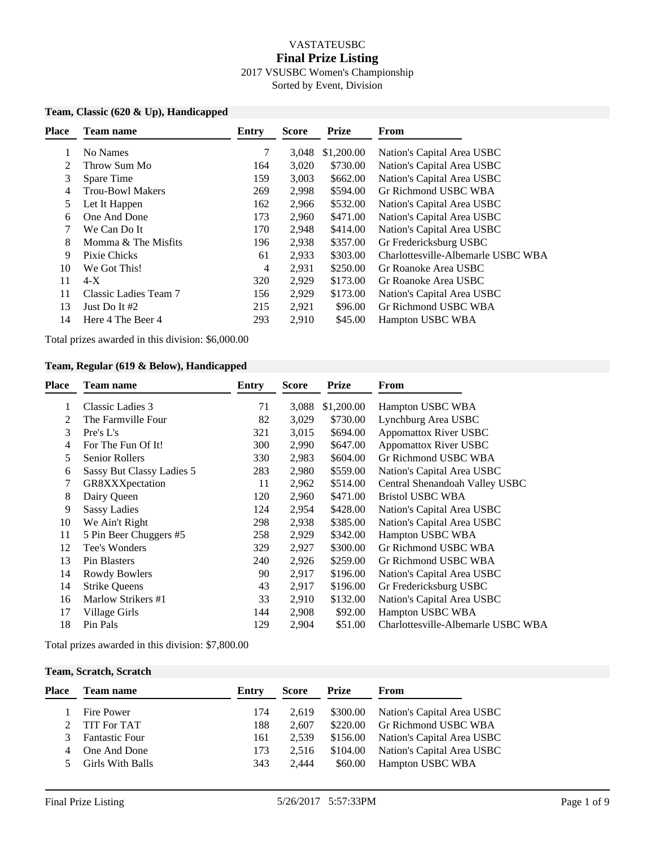## VASTATEUSBC **Final Prize Listing** 2017 VSUSBC Women's Championship Sorted by Event, Division

#### **Team, Classic (620 & Up), Handicapped**

| <b>Place</b> | <b>Team name</b>        | <b>Entry</b> | <b>Score</b> | <b>Prize</b> | From                               |
|--------------|-------------------------|--------------|--------------|--------------|------------------------------------|
|              | No Names                | 7            | 3,048        | \$1,200.00   | Nation's Capital Area USBC         |
| 2            | Throw Sum Mo            | 164          | 3,020        | \$730.00     | Nation's Capital Area USBC         |
| 3            | Spare Time              | 159          | 3,003        | \$662.00     | Nation's Capital Area USBC         |
| 4            | <b>Trou-Bowl Makers</b> | 269          | 2,998        | \$594.00     | Gr Richmond USBC WBA               |
| 5            | Let It Happen           | 162          | 2,966        | \$532.00     | Nation's Capital Area USBC         |
| 6            | One And Done            | 173          | 2,960        | \$471.00     | Nation's Capital Area USBC         |
| 7            | We Can Do It            | 170          | 2,948        | \$414.00     | Nation's Capital Area USBC         |
| 8            | Momma & The Misfits     | 196          | 2,938        | \$357.00     | Gr Fredericksburg USBC             |
| 9            | Pixie Chicks            | 61           | 2,933        | \$303.00     | Charlottesville-Albemarle USBC WBA |
| 10           | We Got This!            | 4            | 2,931        | \$250.00     | Gr Roanoke Area USBC               |
| 11           | $4-X$                   | 320          | 2,929        | \$173.00     | Gr Roanoke Area USBC               |
| 11           | Classic Ladies Team 7   | 156          | 2,929        | \$173.00     | Nation's Capital Area USBC         |
| 13           | Just Do It #2           | 215          | 2,921        | \$96.00      | Gr Richmond USBC WBA               |
| 14           | Here 4 The Beer 4       | 293          | 2,910        | \$45.00      | Hampton USBC WBA                   |
|              |                         |              |              |              |                                    |

Total prizes awarded in this division: \$6,000.00

### **Team, Regular (619 & Below), Handicapped**

| <b>Team name</b>          | Entry | <b>Score</b> | <b>Prize</b> | From                               |
|---------------------------|-------|--------------|--------------|------------------------------------|
| Classic Ladies 3          | 71    | 3,088        | \$1,200.00   | Hampton USBC WBA                   |
| The Farmville Four        | 82    | 3,029        | \$730.00     | Lynchburg Area USBC                |
| Pre's L's                 | 321   | 3,015        | \$694.00     | <b>Appomattox River USBC</b>       |
| For The Fun Of It!        | 300   | 2,990        | \$647.00     | <b>Appomattox River USBC</b>       |
| <b>Senior Rollers</b>     | 330   | 2,983        | \$604.00     | Gr Richmond USBC WBA               |
| Sassy But Classy Ladies 5 | 283   | 2,980        | \$559.00     | Nation's Capital Area USBC         |
| GR8XXXpectation           | 11    | 2,962        | \$514.00     | Central Shenandoah Valley USBC     |
| Dairy Queen               | 120   | 2,960        | \$471.00     | <b>Bristol USBC WBA</b>            |
| <b>Sassy Ladies</b>       | 124   | 2,954        | \$428.00     | Nation's Capital Area USBC         |
| We Ain't Right            | 298   | 2,938        | \$385.00     | Nation's Capital Area USBC         |
| 5 Pin Beer Chuggers #5    | 258   | 2,929        | \$342.00     | Hampton USBC WBA                   |
| Tee's Wonders             | 329   | 2,927        | \$300.00     | Gr Richmond USBC WBA               |
| Pin Blasters              | 240   | 2,926        | \$259.00     | Gr Richmond USBC WBA               |
| Rowdy Bowlers             | 90    | 2,917        | \$196.00     | Nation's Capital Area USBC         |
| <b>Strike Queens</b>      | 43    | 2,917        | \$196.00     | Gr Fredericksburg USBC             |
| Marlow Strikers #1        | 33    | 2,910        | \$132.00     | Nation's Capital Area USBC         |
| Village Girls             | 144   | 2,908        | \$92.00      | Hampton USBC WBA                   |
| Pin Pals                  | 129   | 2,904        | \$51.00      | Charlottesville-Albemarle USBC WBA |
|                           |       |              |              |                                    |

Total prizes awarded in this division: \$7,800.00

### **Team, Scratch, Scratch**

| Place | <b>Team name</b>        | Entry | <b>Score</b> | Prize   | From                                |
|-------|-------------------------|-------|--------------|---------|-------------------------------------|
|       | Fire Power              | 174   | 2.619        |         | \$300.00 Nation's Capital Area USBC |
|       | 2 TIT For TAT           | 188   | 2.607        |         | \$220.00 Gr Richmond USBC WBA       |
| 3     | <b>Fantastic Four</b>   | 161   | 2.539        |         | \$156.00 Nation's Capital Area USBC |
| 4     | One And Done            | 173   | 2.516        |         | \$104.00 Nation's Capital Area USBC |
| 5.    | <b>Girls With Balls</b> | 343   | 2.444        | \$60.00 | Hampton USBC WBA                    |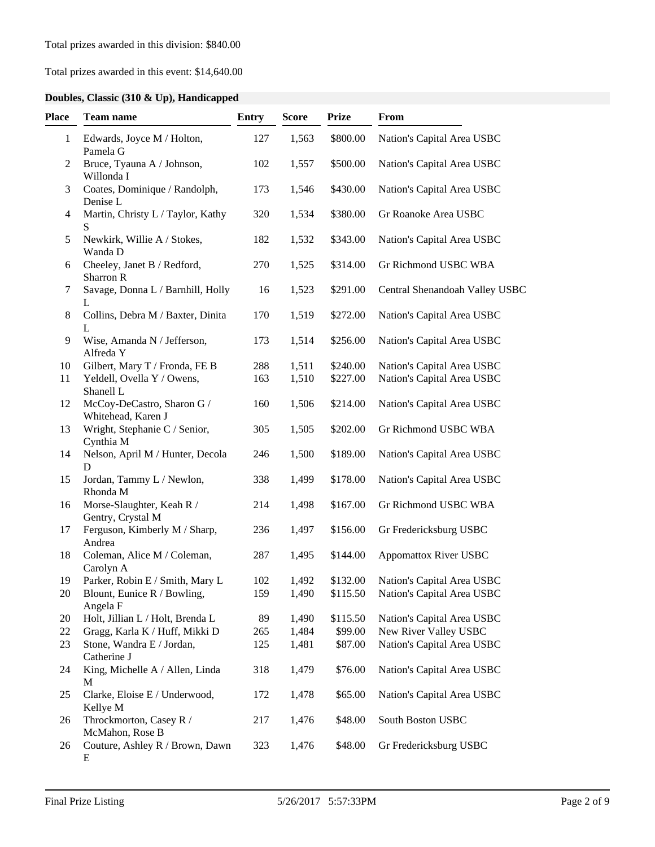# Total prizes awarded in this event: \$14,640.00

# **Doubles, Classic (310 & Up), Handicapped**

| Place        | <b>Team name</b>                                 | <b>Entry</b> | <b>Score</b> | <b>Prize</b> | From                           |
|--------------|--------------------------------------------------|--------------|--------------|--------------|--------------------------------|
| $\mathbf{1}$ | Edwards, Joyce M / Holton,<br>Pamela G           | 127          | 1,563        | \$800.00     | Nation's Capital Area USBC     |
| 2            | Bruce, Tyauna A / Johnson,<br>Willonda I         | 102          | 1,557        | \$500.00     | Nation's Capital Area USBC     |
| 3            | Coates, Dominique / Randolph,<br>Denise L        | 173          | 1,546        | \$430.00     | Nation's Capital Area USBC     |
| 4            | Martin, Christy L / Taylor, Kathy<br>S           | 320          | 1,534        | \$380.00     | Gr Roanoke Area USBC           |
| 5            | Newkirk, Willie A / Stokes,<br>Wanda D           | 182          | 1,532        | \$343.00     | Nation's Capital Area USBC     |
| 6            | Cheeley, Janet B / Redford,<br>Sharron R         | 270          | 1,525        | \$314.00     | Gr Richmond USBC WBA           |
| 7            | Savage, Donna L / Barnhill, Holly<br>L           | 16           | 1,523        | \$291.00     | Central Shenandoah Valley USBC |
| 8            | Collins, Debra M / Baxter, Dinita<br>L           | 170          | 1,519        | \$272.00     | Nation's Capital Area USBC     |
| 9            | Wise, Amanda N / Jefferson,<br>Alfreda Y         | 173          | 1,514        | \$256.00     | Nation's Capital Area USBC     |
| 10           | Gilbert, Mary T / Fronda, FE B                   | 288          | 1,511        | \$240.00     | Nation's Capital Area USBC     |
| 11           | Yeldell, Ovella Y / Owens,<br>Shanell L          | 163          | 1,510        | \$227.00     | Nation's Capital Area USBC     |
| 12           | McCoy-DeCastro, Sharon G /<br>Whitehead, Karen J | 160          | 1,506        | \$214.00     | Nation's Capital Area USBC     |
| 13           | Wright, Stephanie C / Senior,<br>Cynthia M       | 305          | 1,505        | \$202.00     | Gr Richmond USBC WBA           |
| 14           | Nelson, April M / Hunter, Decola<br>D            | 246          | 1,500        | \$189.00     | Nation's Capital Area USBC     |
| 15           | Jordan, Tammy L / Newlon,<br>Rhonda M            | 338          | 1,499        | \$178.00     | Nation's Capital Area USBC     |
| 16           | Morse-Slaughter, Keah R /<br>Gentry, Crystal M   | 214          | 1,498        | \$167.00     | Gr Richmond USBC WBA           |
| 17           | Ferguson, Kimberly M / Sharp,<br>Andrea          | 236          | 1,497        | \$156.00     | Gr Fredericksburg USBC         |
| 18           | Coleman, Alice M / Coleman,<br>Carolyn A         | 287          | 1,495        | \$144.00     | <b>Appomattox River USBC</b>   |
| 19           | Parker, Robin E / Smith, Mary L                  | 102          | 1,492        | \$132.00     | Nation's Capital Area USBC     |
| 20           | Blount, Eunice R / Bowling,<br>Angela F          | 159          | 1,490        | \$115.50     | Nation's Capital Area USBC     |
| 20           | Holt, Jillian L / Holt, Brenda L                 | 89           | 1,490        | \$115.50     | Nation's Capital Area USBC     |
| 22           | Gragg, Karla K / Huff, Mikki D                   | 265          | 1,484        | \$99.00      | New River Valley USBC          |
| 23           | Stone, Wandra E / Jordan,<br>Catherine J         | 125          | 1,481        | \$87.00      | Nation's Capital Area USBC     |
| 24           | King, Michelle A / Allen, Linda<br>М             | 318          | 1,479        | \$76.00      | Nation's Capital Area USBC     |
| 25           | Clarke, Eloise E / Underwood,<br>Kellye M        | 172          | 1,478        | \$65.00      | Nation's Capital Area USBC     |
| 26           | Throckmorton, Casey R /<br>McMahon, Rose B       | 217          | 1,476        | \$48.00      | South Boston USBC              |
| 26           | Couture, Ashley R / Brown, Dawn<br>E             | 323          | 1,476        | \$48.00      | Gr Fredericksburg USBC         |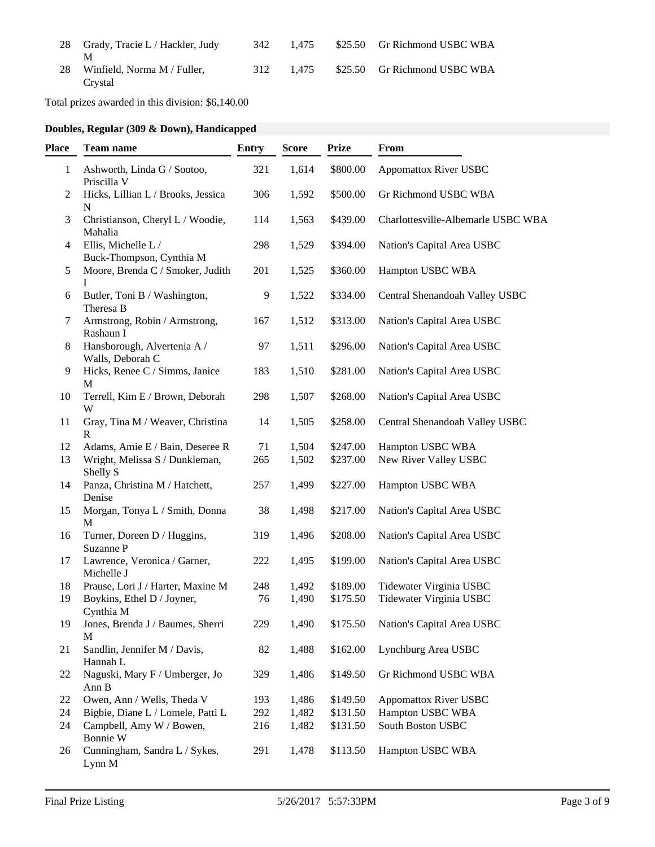| 28 Grady, Tracie L / Hackler, Judy        | 342 | 1.475     | \$25.50 Gr Richmond USBC WBA |
|-------------------------------------------|-----|-----------|------------------------------|
| 28 Winfield, Norma M / Fuller,<br>Crvstal |     | 312 1.475 | \$25.50 Gr Richmond USBC WBA |

Total prizes awarded in this division: \$6,140.00

# **Doubles, Regular (309 & Down), Handicapped**

| <b>Place</b> | <b>Team name</b>                                  | <b>Entry</b> | <b>Score</b> | <b>Prize</b> | From                               |
|--------------|---------------------------------------------------|--------------|--------------|--------------|------------------------------------|
| 1            | Ashworth, Linda G / Sootoo,<br>Priscilla V        | 321          | 1,614        | \$800.00     | <b>Appomattox River USBC</b>       |
| 2            | Hicks, Lillian L / Brooks, Jessica<br>$\mathbf N$ | 306          | 1,592        | \$500.00     | Gr Richmond USBC WBA               |
| 3            | Christianson, Cheryl L / Woodie,<br>Mahalia       | 114          | 1,563        | \$439.00     | Charlottesville-Albemarle USBC WBA |
| 4            | Ellis, Michelle L /<br>Buck-Thompson, Cynthia M   | 298          | 1,529        | \$394.00     | Nation's Capital Area USBC         |
| 5            | Moore, Brenda C / Smoker, Judith<br>I             | 201          | 1,525        | \$360.00     | Hampton USBC WBA                   |
| 6            | Butler, Toni B / Washington,<br>Theresa B         | 9            | 1,522        | \$334.00     | Central Shenandoah Valley USBC     |
| 7            | Armstrong, Robin / Armstrong,<br>Rashaun I        | 167          | 1,512        | \$313.00     | Nation's Capital Area USBC         |
| 8            | Hansborough, Alvertenia A /<br>Walls, Deborah C   | 97           | 1,511        | \$296.00     | Nation's Capital Area USBC         |
| 9            | Hicks, Renee C / Simms, Janice<br>M               | 183          | 1,510        | \$281.00     | Nation's Capital Area USBC         |
| 10           | Terrell, Kim E / Brown, Deborah<br>W              | 298          | 1,507        | \$268.00     | Nation's Capital Area USBC         |
| 11           | Gray, Tina M / Weaver, Christina<br>$\mathbb{R}$  | 14           | 1,505        | \$258.00     | Central Shenandoah Valley USBC     |
| 12           | Adams, Amie E / Bain, Deseree R                   | 71           | 1,504        | \$247.00     | Hampton USBC WBA                   |
| 13           | Wright, Melissa S / Dunkleman,<br>Shelly S        | 265          | 1,502        | \$237.00     | New River Valley USBC              |
| 14           | Panza, Christina M / Hatchett,<br>Denise          | 257          | 1,499        | \$227.00     | Hampton USBC WBA                   |
| 15           | Morgan, Tonya L / Smith, Donna<br>M               | 38           | 1,498        | \$217.00     | Nation's Capital Area USBC         |
| 16           | Turner, Doreen D / Huggins,<br>Suzanne P          | 319          | 1,496        | \$208.00     | Nation's Capital Area USBC         |
| 17           | Lawrence, Veronica / Garner,<br>Michelle J        | 222          | 1,495        | \$199.00     | Nation's Capital Area USBC         |
| 18           | Prause, Lori J / Harter, Maxine M                 | 248          | 1,492        | \$189.00     | Tidewater Virginia USBC            |
| 19           | Boykins, Ethel D / Joyner,<br>Cynthia M           | 76           | 1,490        | \$175.50     | Tidewater Virginia USBC            |
| 19           | Jones, Brenda J / Baumes, Sherri<br>M             | 229          | 1,490        | \$175.50     | Nation's Capital Area USBC         |
| 21           | Sandlin, Jennifer M / Davis,<br>Hannah L          | 82           | 1,488        | \$162.00     | Lynchburg Area USBC                |
| 22           | Naguski, Mary F / Umberger, Jo<br>Ann B           | 329          | 1,486        | \$149.50     | Gr Richmond USBC WBA               |
| 22           | Owen, Ann / Wells, Theda V                        | 193          | 1,486        | \$149.50     | <b>Appomattox River USBC</b>       |
| 24           | Bigbie, Diane L / Lomele, Patti L                 | 292          | 1,482        | \$131.50     | Hampton USBC WBA                   |
| 24           | Campbell, Amy W / Bowen,<br>Bonnie W              | 216          | 1,482        | \$131.50     | South Boston USBC                  |
| 26           | Cunningham, Sandra L / Sykes,<br>Lynn M           | 291          | 1,478        | \$113.50     | Hampton USBC WBA                   |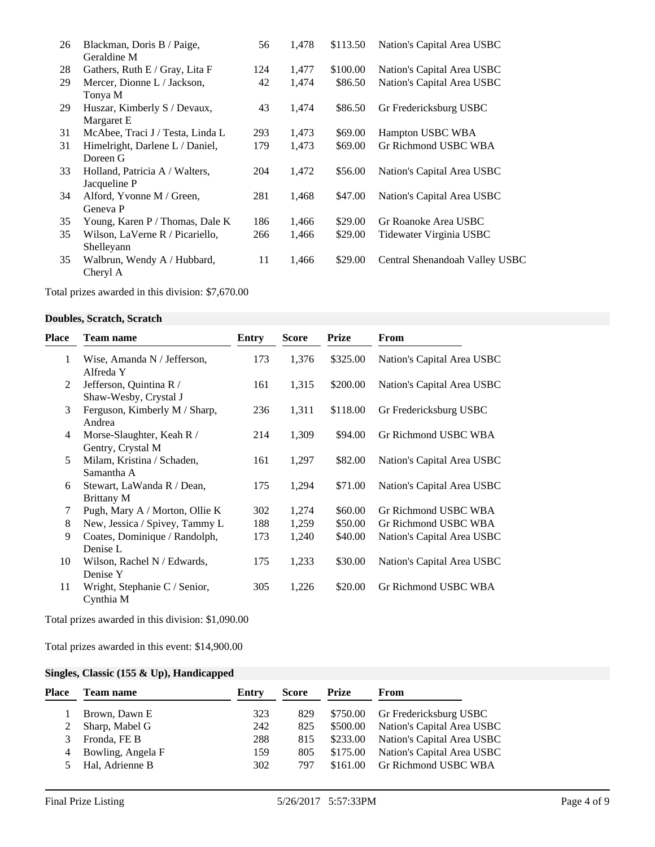| 26 | Blackman, Doris B / Paige,       | 56  | 1,478 | \$113.50 | Nation's Capital Area USBC     |
|----|----------------------------------|-----|-------|----------|--------------------------------|
|    | Geraldine M                      |     |       |          |                                |
| 28 | Gathers, Ruth E / Gray, Lita F   | 124 | 1,477 | \$100.00 | Nation's Capital Area USBC     |
| 29 | Mercer, Dionne L / Jackson,      | 42  | 1,474 | \$86.50  | Nation's Capital Area USBC     |
|    | Tonya M                          |     |       |          |                                |
| 29 | Huszar, Kimberly S / Devaux,     | 43  | 1,474 | \$86.50  | Gr Fredericksburg USBC         |
|    | Margaret E                       |     |       |          |                                |
| 31 | McAbee, Traci J / Testa, Linda L | 293 | 1,473 | \$69.00  | Hampton USBC WBA               |
| 31 | Himelright, Darlene L / Daniel,  | 179 | 1,473 | \$69.00  | Gr Richmond USBC WBA           |
|    | Doreen G                         |     |       |          |                                |
| 33 | Holland, Patricia A / Walters,   | 204 | 1,472 | \$56.00  | Nation's Capital Area USBC     |
|    | Jacqueline P                     |     |       |          |                                |
| 34 | Alford, Yvonne M / Green,        | 281 | 1,468 | \$47.00  | Nation's Capital Area USBC     |
|    | Geneva P                         |     |       |          |                                |
| 35 | Young, Karen P / Thomas, Dale K  | 186 | 1,466 | \$29.00  | Gr Roanoke Area USBC           |
| 35 | Wilson, LaVerne R / Picariello,  | 266 | 1,466 | \$29.00  | Tidewater Virginia USBC        |
|    | Shelleyann                       |     |       |          |                                |
| 35 | Walbrun, Wendy A / Hubbard,      | 11  | 1,466 | \$29.00  | Central Shenandoah Valley USBC |
|    | Cheryl A                         |     |       |          |                                |
|    |                                  |     |       |          |                                |

Total prizes awarded in this division: \$7,670.00

## **Doubles, Scratch, Scratch**

| Place | <b>Team name</b>                                 | Entry | <b>Score</b> | <b>Prize</b> | From                       |
|-------|--------------------------------------------------|-------|--------------|--------------|----------------------------|
| 1     | Wise, Amanda N / Jefferson,<br>Alfreda Y         | 173   | 1,376        | \$325.00     | Nation's Capital Area USBC |
| 2     | Jefferson, Quintina R /<br>Shaw-Wesby, Crystal J | 161   | 1,315        | \$200.00     | Nation's Capital Area USBC |
| 3     | Ferguson, Kimberly M / Sharp,<br>Andrea          | 236   | 1,311        | \$118.00     | Gr Fredericksburg USBC     |
| 4     | Morse-Slaughter, Keah R /<br>Gentry, Crystal M   | 214   | 1,309        | \$94.00      | Gr Richmond USBC WBA       |
| 5     | Milam, Kristina / Schaden,<br>Samantha A         | 161   | 1,297        | \$82.00      | Nation's Capital Area USBC |
| 6     | Stewart, LaWanda R / Dean,<br>Brittany M         | 175   | 1,294        | \$71.00      | Nation's Capital Area USBC |
| 7     | Pugh, Mary A / Morton, Ollie K                   | 302   | 1,274        | \$60.00      | Gr Richmond USBC WBA       |
| 8     | New, Jessica / Spivey, Tammy L                   | 188   | 1,259        | \$50.00      | Gr Richmond USBC WBA       |
| 9     | Coates, Dominique / Randolph,<br>Denise L        | 173   | 1,240        | \$40.00      | Nation's Capital Area USBC |
| 10    | Wilson, Rachel N / Edwards,<br>Denise Y          | 175   | 1,233        | \$30.00      | Nation's Capital Area USBC |
| 11    | Wright, Stephanie C / Senior,<br>Cynthia M       | 305   | 1,226        | \$20.00      | Gr Richmond USBC WBA       |

Total prizes awarded in this division: \$1,090.00

Total prizes awarded in this event: \$14,900.00

# **Singles, Classic (155 & Up), Handicapped**

| Place | <b>Team name</b>  | Entry | Score | Prize    | <b>From</b>                |
|-------|-------------------|-------|-------|----------|----------------------------|
|       | Brown, Dawn E     | 323   | 829   | \$750.00 | Gr Fredericksburg USBC     |
|       | Sharp, Mabel G    | 242   | 825   | \$500.00 | Nation's Capital Area USBC |
| 3     | Fronda, FE B      | 288   | 815   | \$233.00 | Nation's Capital Area USBC |
| 4     | Bowling, Angela F | 159   | 805   | \$175.00 | Nation's Capital Area USBC |
|       | Hal, Adrienne B   | 302   | 797   | \$161.00 | Gr Richmond USBC WBA       |
|       |                   |       |       |          |                            |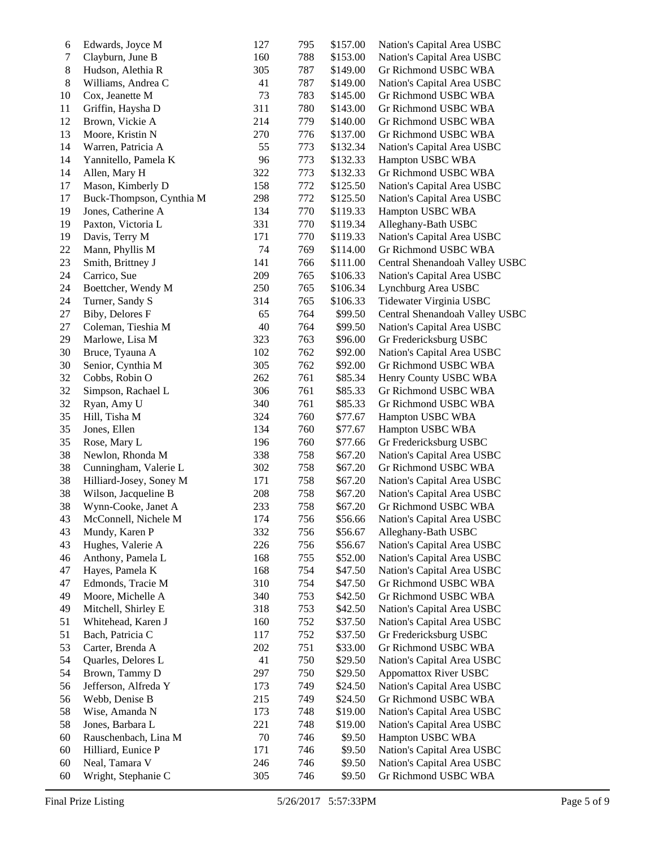| 6      | Edwards, Joyce M         | 127 | 795 | \$157.00 | Nation's Capital Area USBC     |
|--------|--------------------------|-----|-----|----------|--------------------------------|
| $\tau$ | Clayburn, June B         | 160 | 788 | \$153.00 | Nation's Capital Area USBC     |
| 8      | Hudson, Alethia R        | 305 | 787 | \$149.00 | Gr Richmond USBC WBA           |
| $8\,$  | Williams, Andrea C       | 41  | 787 | \$149.00 | Nation's Capital Area USBC     |
| 10     | Cox, Jeanette M          | 73  | 783 | \$145.00 | Gr Richmond USBC WBA           |
| 11     | Griffin, Haysha D        | 311 | 780 | \$143.00 | Gr Richmond USBC WBA           |
| 12     | Brown, Vickie A          | 214 | 779 | \$140.00 | Gr Richmond USBC WBA           |
| 13     | Moore, Kristin N         | 270 | 776 | \$137.00 | Gr Richmond USBC WBA           |
| 14     | Warren, Patricia A       | 55  | 773 | \$132.34 | Nation's Capital Area USBC     |
| 14     | Yannitello, Pamela K     | 96  | 773 | \$132.33 | Hampton USBC WBA               |
| 14     | Allen, Mary H            | 322 | 773 | \$132.33 | Gr Richmond USBC WBA           |
| 17     | Mason, Kimberly D        | 158 | 772 | \$125.50 | Nation's Capital Area USBC     |
| 17     | Buck-Thompson, Cynthia M | 298 | 772 | \$125.50 | Nation's Capital Area USBC     |
| 19     | Jones, Catherine A       | 134 | 770 | \$119.33 | Hampton USBC WBA               |
| 19     | Paxton, Victoria L       | 331 | 770 | \$119.34 | Alleghany-Bath USBC            |
| 19     |                          | 171 | 770 | \$119.33 |                                |
|        | Davis, Terry M           |     |     |          | Nation's Capital Area USBC     |
| 22     | Mann, Phyllis M          | 74  | 769 | \$114.00 | Gr Richmond USBC WBA           |
| 23     | Smith, Brittney J        | 141 | 766 | \$111.00 | Central Shenandoah Valley USBC |
| 24     | Carrico, Sue             | 209 | 765 | \$106.33 | Nation's Capital Area USBC     |
| 24     | Boettcher, Wendy M       | 250 | 765 | \$106.34 | Lynchburg Area USBC            |
| 24     | Turner, Sandy S          | 314 | 765 | \$106.33 | Tidewater Virginia USBC        |
| 27     | Biby, Delores F          | 65  | 764 | \$99.50  | Central Shenandoah Valley USBC |
| 27     | Coleman, Tieshia M       | 40  | 764 | \$99.50  | Nation's Capital Area USBC     |
| 29     | Marlowe, Lisa M          | 323 | 763 | \$96.00  | Gr Fredericksburg USBC         |
| 30     | Bruce, Tyauna A          | 102 | 762 | \$92.00  | Nation's Capital Area USBC     |
| 30     | Senior, Cynthia M        | 305 | 762 | \$92.00  | Gr Richmond USBC WBA           |
| 32     | Cobbs, Robin O           | 262 | 761 | \$85.34  | Henry County USBC WBA          |
| 32     | Simpson, Rachael L       | 306 | 761 | \$85.33  | Gr Richmond USBC WBA           |
| 32     | Ryan, Amy U              | 340 | 761 | \$85.33  | Gr Richmond USBC WBA           |
| 35     | Hill, Tisha M            | 324 | 760 | \$77.67  | Hampton USBC WBA               |
| 35     | Jones, Ellen             | 134 | 760 | \$77.67  | Hampton USBC WBA               |
| 35     | Rose, Mary L             | 196 | 760 | \$77.66  | Gr Fredericksburg USBC         |
| 38     | Newlon, Rhonda M         | 338 | 758 | \$67.20  | Nation's Capital Area USBC     |
| 38     | Cunningham, Valerie L    | 302 | 758 | \$67.20  | Gr Richmond USBC WBA           |
| 38     | Hilliard-Josey, Soney M  | 171 | 758 | \$67.20  | Nation's Capital Area USBC     |
| 38     | Wilson, Jacqueline B     | 208 | 758 | \$67.20  | Nation's Capital Area USBC     |
| 38     | Wynn-Cooke, Janet A      | 233 | 758 | \$67.20  | Gr Richmond USBC WBA           |
| 43     | McConnell, Nichele M     | 174 | 756 | \$56.66  | Nation's Capital Area USBC     |
| 43     | Mundy, Karen P           | 332 | 756 | \$56.67  | Alleghany-Bath USBC            |
| 43     | Hughes, Valerie A        | 226 | 756 | \$56.67  | Nation's Capital Area USBC     |
| 46     | Anthony, Pamela L        | 168 | 755 | \$52.00  | Nation's Capital Area USBC     |
| 47     | Hayes, Pamela K          | 168 | 754 | \$47.50  | Nation's Capital Area USBC     |
| 47     | Edmonds, Tracie M        | 310 | 754 | \$47.50  | Gr Richmond USBC WBA           |
| 49     | Moore, Michelle A        | 340 | 753 | \$42.50  | Gr Richmond USBC WBA           |
|        |                          |     |     |          |                                |
| 49     | Mitchell, Shirley E      | 318 | 753 | \$42.50  | Nation's Capital Area USBC     |
| 51     | Whitehead, Karen J       | 160 | 752 | \$37.50  | Nation's Capital Area USBC     |
| 51     | Bach, Patricia C         | 117 | 752 | \$37.50  | Gr Fredericksburg USBC         |
| 53     | Carter, Brenda A         | 202 | 751 | \$33.00  | Gr Richmond USBC WBA           |
| 54     | Quarles, Delores L       | 41  | 750 | \$29.50  | Nation's Capital Area USBC     |
| 54     | Brown, Tammy D           | 297 | 750 | \$29.50  | <b>Appomattox River USBC</b>   |
| 56     | Jefferson, Alfreda Y     | 173 | 749 | \$24.50  | Nation's Capital Area USBC     |
| 56     | Webb, Denise B           | 215 | 749 | \$24.50  | Gr Richmond USBC WBA           |
| 58     | Wise, Amanda N           | 173 | 748 | \$19.00  | Nation's Capital Area USBC     |
| 58     | Jones, Barbara L         | 221 | 748 | \$19.00  | Nation's Capital Area USBC     |
| 60     | Rauschenbach, Lina M     | 70  | 746 | \$9.50   | Hampton USBC WBA               |
| 60     | Hilliard, Eunice P       | 171 | 746 | \$9.50   | Nation's Capital Area USBC     |
| 60     | Neal, Tamara V           | 246 | 746 | \$9.50   | Nation's Capital Area USBC     |
| 60     | Wright, Stephanie C      | 305 | 746 | \$9.50   | Gr Richmond USBC WBA           |
|        |                          |     |     |          |                                |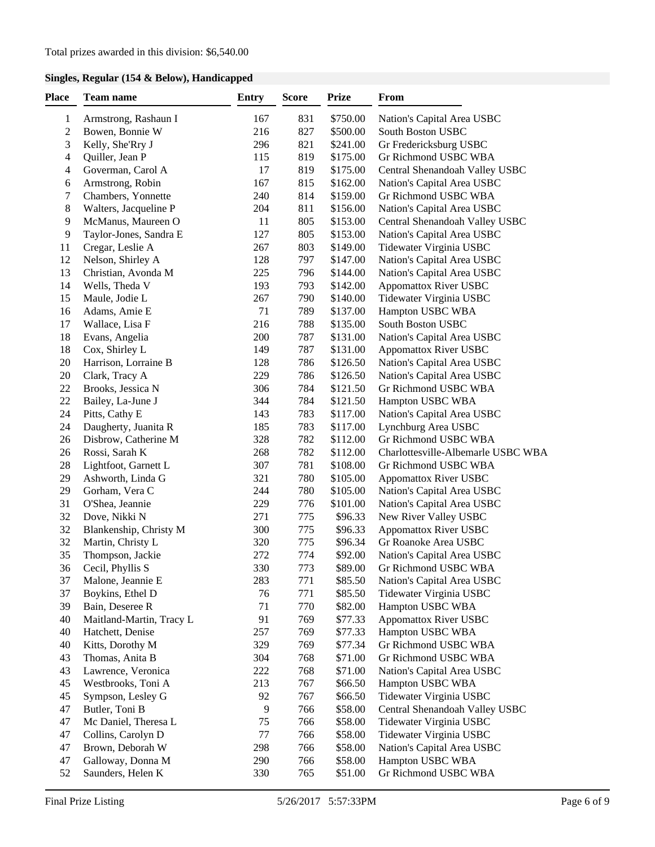# **Singles, Regular (154 & Below), Handicapped**

| <b>Place</b> | Team name                | <b>Entry</b> | <b>Score</b> | <b>Prize</b> | From                                        |
|--------------|--------------------------|--------------|--------------|--------------|---------------------------------------------|
| $\mathbf{1}$ | Armstrong, Rashaun I     | 167          | 831          | \$750.00     | Nation's Capital Area USBC                  |
| 2            | Bowen, Bonnie W          | 216          | 827          | \$500.00     | South Boston USBC                           |
| 3            | Kelly, She'Rry J         | 296          | 821          | \$241.00     | Gr Fredericksburg USBC                      |
| 4            | Quiller, Jean P          | 115          | 819          | \$175.00     | Gr Richmond USBC WBA                        |
| 4            | Goverman, Carol A        | 17           | 819          | \$175.00     | Central Shenandoah Valley USBC              |
| 6            | Armstrong, Robin         | 167          | 815          | \$162.00     | Nation's Capital Area USBC                  |
| 7            | Chambers, Yonnette       | 240          | 814          | \$159.00     | Gr Richmond USBC WBA                        |
| 8            | Walters, Jacqueline P    | 204          | 811          | \$156.00     | Nation's Capital Area USBC                  |
| 9            | McManus, Maureen O       | 11           | 805          | \$153.00     | Central Shenandoah Valley USBC              |
| 9            | Taylor-Jones, Sandra E   | 127          | 805          | \$153.00     | Nation's Capital Area USBC                  |
| 11           | Cregar, Leslie A         | 267          | 803          | \$149.00     | Tidewater Virginia USBC                     |
| 12           | Nelson, Shirley A        | 128          | 797          | \$147.00     | Nation's Capital Area USBC                  |
| 13           | Christian, Avonda M      | 225          | 796          | \$144.00     | Nation's Capital Area USBC                  |
| 14           | Wells, Theda V           | 193          | 793          | \$142.00     | <b>Appomattox River USBC</b>                |
| 15           | Maule, Jodie L           | 267          | 790          | \$140.00     | Tidewater Virginia USBC                     |
| 16           | Adams, Amie E            | 71           | 789          | \$137.00     | Hampton USBC WBA                            |
| 17           | Wallace, Lisa F          | 216          | 788          | \$135.00     | South Boston USBC                           |
| 18           | Evans, Angelia           | 200          | 787          | \$131.00     | Nation's Capital Area USBC                  |
| 18           | Cox, Shirley L           | 149          | 787          | \$131.00     | <b>Appomattox River USBC</b>                |
| 20           | Harrison, Lorraine B     | 128          | 786          | \$126.50     | Nation's Capital Area USBC                  |
| 20           | Clark, Tracy A           | 229          | 786          | \$126.50     | Nation's Capital Area USBC                  |
| 22           | Brooks, Jessica N        | 306          | 784          | \$121.50     | Gr Richmond USBC WBA                        |
| 22           | Bailey, La-June J        | 344          | 784          | \$121.50     | Hampton USBC WBA                            |
| 24           | Pitts, Cathy E           | 143          | 783          | \$117.00     |                                             |
| 24           | Daugherty, Juanita R     | 185          | 783          | \$117.00     | Nation's Capital Area USBC                  |
| 26           |                          |              | 782          | \$112.00     | Lynchburg Area USBC<br>Gr Richmond USBC WBA |
| 26           | Disbrow, Catherine M     | 328<br>268   | 782          | \$112.00     | Charlottesville-Albemarle USBC WBA          |
| 28           | Rossi, Sarah K           | 307          | 781          | \$108.00     |                                             |
| 29           | Lightfoot, Garnett L     |              | 780          | \$105.00     | Gr Richmond USBC WBA                        |
|              | Ashworth, Linda G        | 321          |              |              | <b>Appomattox River USBC</b>                |
| 29           | Gorham, Vera C           | 244          | 780          | \$105.00     | Nation's Capital Area USBC                  |
| 31           | O'Shea, Jeannie          | 229          | 776          | \$101.00     | Nation's Capital Area USBC                  |
| 32           | Dove, Nikki N            | 271          | 775          | \$96.33      | New River Valley USBC                       |
| 32           | Blankenship, Christy M   | 300          | 775          | \$96.33      | <b>Appomattox River USBC</b>                |
| 32           | Martin, Christy L        | 320          | 775          | \$96.34      | Gr Roanoke Area USBC                        |
| 35           | Thompson, Jackie         | 272          | 774          | \$92.00      | Nation's Capital Area USBC                  |
| 36           | Cecil, Phyllis S         | 330          | 773          | \$89.00      | Gr Richmond USBC WBA                        |
| 37           | Malone, Jeannie E        | 283          | 771          | \$85.50      | Nation's Capital Area USBC                  |
| 37           | Boykins, Ethel D         | 76           | 771          | \$85.50      | Tidewater Virginia USBC                     |
| 39           | Bain, Deseree R          | 71           | 770          | \$82.00      | Hampton USBC WBA                            |
| 40           | Maitland-Martin, Tracy L | 91           | 769          | \$77.33      | <b>Appomattox River USBC</b>                |
| 40           | Hatchett, Denise         | 257          | 769          | \$77.33      | Hampton USBC WBA                            |
| 40           | Kitts, Dorothy M         | 329          | 769          | \$77.34      | Gr Richmond USBC WBA                        |
| 43           | Thomas, Anita B          | 304          | 768          | \$71.00      | Gr Richmond USBC WBA                        |
| 43           | Lawrence, Veronica       | 222          | 768          | \$71.00      | Nation's Capital Area USBC                  |
| 45           | Westbrooks, Toni A       | 213          | 767          | \$66.50      | Hampton USBC WBA                            |
| 45           | Sympson, Lesley G        | 92           | 767          | \$66.50      | Tidewater Virginia USBC                     |
| 47           | Butler, Toni B           | 9            | 766          | \$58.00      | Central Shenandoah Valley USBC              |
| 47           | Mc Daniel, Theresa L     | 75           | 766          | \$58.00      | Tidewater Virginia USBC                     |
| 47           | Collins, Carolyn D       | 77           | 766          | \$58.00      | Tidewater Virginia USBC                     |
| 47           | Brown, Deborah W         | 298          | 766          | \$58.00      | Nation's Capital Area USBC                  |
| 47           | Galloway, Donna M        | 290          | 766          | \$58.00      | Hampton USBC WBA                            |
| 52           | Saunders, Helen K        | 330          | 765          | \$51.00      | Gr Richmond USBC WBA                        |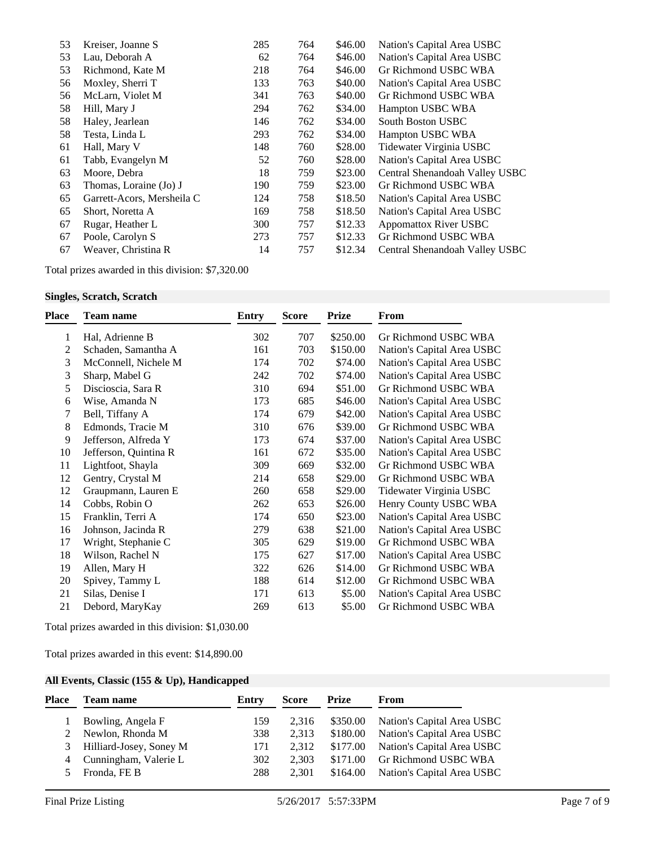| 53 | Kreiser, Joanne S          | 285 | 764 | \$46.00 | Nation's Capital Area USBC     |
|----|----------------------------|-----|-----|---------|--------------------------------|
| 53 | Lau, Deborah A             | 62  | 764 | \$46.00 | Nation's Capital Area USBC     |
| 53 | Richmond, Kate M           | 218 | 764 | \$46.00 | Gr Richmond USBC WBA           |
| 56 | Moxley, Sherri T           | 133 | 763 | \$40.00 | Nation's Capital Area USBC     |
| 56 | McLarn, Violet M           | 341 | 763 | \$40.00 | Gr Richmond USBC WBA           |
| 58 | Hill, Mary J               | 294 | 762 | \$34.00 | Hampton USBC WBA               |
| 58 | Haley, Jearlean            | 146 | 762 | \$34.00 | South Boston USBC              |
| 58 | Testa, Linda L             | 293 | 762 | \$34.00 | Hampton USBC WBA               |
| 61 | Hall, Mary V               | 148 | 760 | \$28.00 | Tidewater Virginia USBC        |
| 61 | Tabb, Evangelyn M          | 52  | 760 | \$28.00 | Nation's Capital Area USBC     |
| 63 | Moore, Debra               | 18  | 759 | \$23.00 | Central Shenandoah Valley USBC |
| 63 | Thomas, Loraine (Jo) J     | 190 | 759 | \$23.00 | Gr Richmond USBC WBA           |
| 65 | Garrett-Acors, Mersheila C | 124 | 758 | \$18.50 | Nation's Capital Area USBC     |
| 65 | Short, Noretta A           | 169 | 758 | \$18.50 | Nation's Capital Area USBC     |
| 67 | Rugar, Heather L           | 300 | 757 | \$12.33 | <b>Appomattox River USBC</b>   |
| 67 | Poole, Carolyn S           | 273 | 757 | \$12.33 | Gr Richmond USBC WBA           |
| 67 | Weaver, Christina R        | 14  | 757 | \$12.34 | Central Shenandoah Valley USBC |

Total prizes awarded in this division: \$7,320.00

### **Singles, Scratch, Scratch**

| Place | <b>Team name</b>      | <b>Entry</b> | <b>Score</b> | <b>Prize</b> | From                       |
|-------|-----------------------|--------------|--------------|--------------|----------------------------|
| 1     | Hal, Adrienne B       | 302          | 707          | \$250.00     | Gr Richmond USBC WBA       |
| 2     | Schaden, Samantha A   | 161          | 703          | \$150.00     | Nation's Capital Area USBC |
| 3     | McConnell, Nichele M  | 174          | 702          | \$74.00      | Nation's Capital Area USBC |
| 3     | Sharp, Mabel G        | 242          | 702          | \$74.00      | Nation's Capital Area USBC |
| 5     | Discioscia, Sara R    | 310          | 694          | \$51.00      | Gr Richmond USBC WBA       |
| 6     | Wise, Amanda N        | 173          | 685          | \$46.00      | Nation's Capital Area USBC |
| 7     | Bell, Tiffany A       | 174          | 679          | \$42.00      | Nation's Capital Area USBC |
| 8     | Edmonds, Tracie M     | 310          | 676          | \$39.00      | Gr Richmond USBC WBA       |
| 9     | Jefferson, Alfreda Y  | 173          | 674          | \$37.00      | Nation's Capital Area USBC |
| 10    | Jefferson, Quintina R | 161          | 672          | \$35.00      | Nation's Capital Area USBC |
| 11    | Lightfoot, Shayla     | 309          | 669          | \$32.00      | Gr Richmond USBC WBA       |
| 12    | Gentry, Crystal M     | 214          | 658          | \$29.00      | Gr Richmond USBC WBA       |
| 12    | Graupmann, Lauren E   | 260          | 658          | \$29.00      | Tidewater Virginia USBC    |
| 14    | Cobbs, Robin O        | 262          | 653          | \$26.00      | Henry County USBC WBA      |
| 15    | Franklin, Terri A     | 174          | 650          | \$23.00      | Nation's Capital Area USBC |
| 16    | Johnson, Jacinda R    | 279          | 638          | \$21.00      | Nation's Capital Area USBC |
| 17    | Wright, Stephanie C   | 305          | 629          | \$19.00      | Gr Richmond USBC WBA       |
| 18    | Wilson, Rachel N      | 175          | 627          | \$17.00      | Nation's Capital Area USBC |
| 19    | Allen, Mary H         | 322          | 626          | \$14.00      | Gr Richmond USBC WBA       |
| 20    | Spivey, Tammy L       | 188          | 614          | \$12.00      | Gr Richmond USBC WBA       |
| 21    | Silas, Denise I       | 171          | 613          | \$5.00       | Nation's Capital Area USBC |
| 21    | Debord, MaryKay       | 269          | 613          | \$5.00       | Gr Richmond USBC WBA       |

Total prizes awarded in this division: \$1,030.00

Total prizes awarded in this event: \$14,890.00

# **All Events, Classic (155 & Up), Handicapped**

| Place | <b>Team name</b>        | Entry | <b>Score</b> | Prize    | From                       |
|-------|-------------------------|-------|--------------|----------|----------------------------|
|       | Bowling, Angela F       | 159   | 2.316        | \$350.00 | Nation's Capital Area USBC |
|       | Newlon, Rhonda M        | 338   | 2.313        | \$180.00 | Nation's Capital Area USBC |
| 3     | Hilliard-Josey, Soney M | 171   | 2.312        | \$177.00 | Nation's Capital Area USBC |
| 4     | Cunningham, Valerie L   | 302   | 2.303        | \$171.00 | Gr Richmond USBC WBA       |
|       | Fronda, FE B            | 288   | 2.301        | \$164.00 | Nation's Capital Area USBC |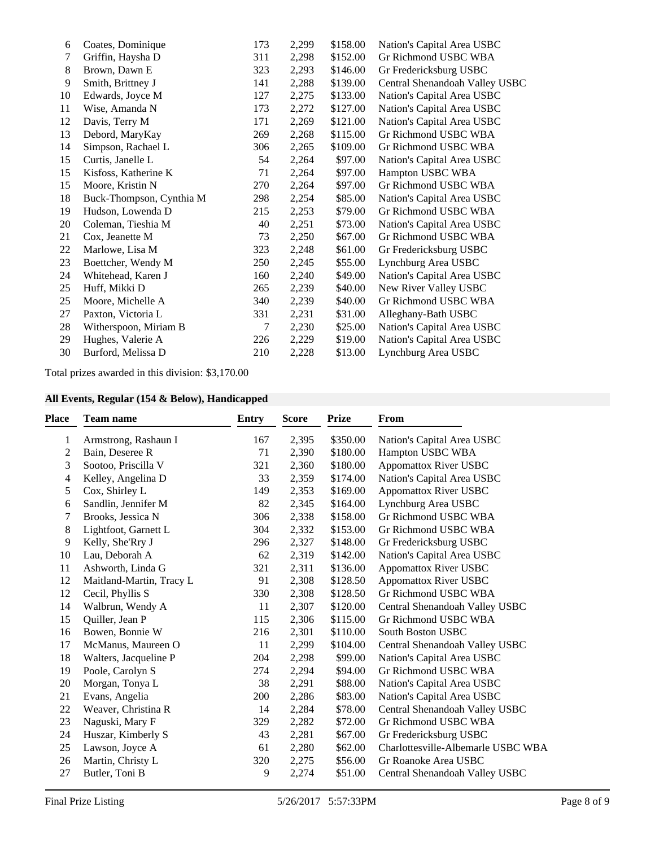| 6  | Coates, Dominique        | 173 | 2,299 | \$158.00 | Nation's Capital Area USBC     |
|----|--------------------------|-----|-------|----------|--------------------------------|
| 7  | Griffin, Haysha D        | 311 | 2,298 | \$152.00 | Gr Richmond USBC WBA           |
| 8  | Brown, Dawn E            | 323 | 2,293 | \$146.00 | Gr Fredericksburg USBC         |
| 9  | Smith, Brittney J        | 141 | 2,288 | \$139.00 | Central Shenandoah Valley USBC |
| 10 | Edwards, Joyce M         | 127 | 2,275 | \$133.00 | Nation's Capital Area USBC     |
| 11 | Wise, Amanda N           | 173 | 2,272 | \$127.00 | Nation's Capital Area USBC     |
| 12 | Davis, Terry M           | 171 | 2,269 | \$121.00 | Nation's Capital Area USBC     |
| 13 | Debord, MaryKay          | 269 | 2,268 | \$115.00 | Gr Richmond USBC WBA           |
| 14 | Simpson, Rachael L       | 306 | 2,265 | \$109.00 | Gr Richmond USBC WBA           |
| 15 | Curtis, Janelle L        | 54  | 2,264 | \$97.00  | Nation's Capital Area USBC     |
| 15 | Kisfoss, Katherine K     | 71  | 2,264 | \$97.00  | Hampton USBC WBA               |
| 15 | Moore, Kristin N         | 270 | 2,264 | \$97.00  | Gr Richmond USBC WBA           |
| 18 | Buck-Thompson, Cynthia M | 298 | 2,254 | \$85.00  | Nation's Capital Area USBC     |
| 19 | Hudson, Lowenda D        | 215 | 2,253 | \$79.00  | Gr Richmond USBC WBA           |
| 20 | Coleman, Tieshia M       | 40  | 2,251 | \$73.00  | Nation's Capital Area USBC     |
| 21 | Cox, Jeanette M          | 73  | 2,250 | \$67.00  | Gr Richmond USBC WBA           |
| 22 | Marlowe, Lisa M          | 323 | 2,248 | \$61.00  | Gr Fredericksburg USBC         |
| 23 | Boettcher, Wendy M       | 250 | 2,245 | \$55.00  | Lynchburg Area USBC            |
| 24 | Whitehead, Karen J       | 160 | 2,240 | \$49.00  | Nation's Capital Area USBC     |
| 25 | Huff, Mikki D            | 265 | 2,239 | \$40.00  | New River Valley USBC          |
| 25 | Moore, Michelle A        | 340 | 2,239 | \$40.00  | Gr Richmond USBC WBA           |
| 27 | Paxton, Victoria L       | 331 | 2,231 | \$31.00  | Alleghany-Bath USBC            |
| 28 | Witherspoon, Miriam B    | 7   | 2,230 | \$25.00  | Nation's Capital Area USBC     |
| 29 | Hughes, Valerie A        | 226 | 2,229 | \$19.00  | Nation's Capital Area USBC     |
| 30 | Burford, Melissa D       | 210 | 2,228 | \$13.00  | Lynchburg Area USBC            |
|    |                          |     |       |          |                                |

Total prizes awarded in this division: \$3,170.00

## **All Events, Regular (154 & Below), Handicapped**

| <b>Place</b> | <b>Team name</b>         | <b>Entry</b> | <b>Score</b> | <b>Prize</b> | From                               |
|--------------|--------------------------|--------------|--------------|--------------|------------------------------------|
| 1            | Armstrong, Rashaun I     | 167          | 2,395        | \$350.00     | Nation's Capital Area USBC         |
| 2            | Bain, Deseree R          | 71           | 2,390        | \$180.00     | Hampton USBC WBA                   |
| 3            | Sootoo, Priscilla V      | 321          | 2,360        | \$180.00     | <b>Appomattox River USBC</b>       |
| 4            | Kelley, Angelina D       | 33           | 2,359        | \$174.00     | Nation's Capital Area USBC         |
| 5            | Cox, Shirley L           | 149          | 2,353        | \$169.00     | <b>Appomattox River USBC</b>       |
| 6            | Sandlin, Jennifer M      | 82           | 2,345        | \$164.00     | Lynchburg Area USBC                |
| 7            | Brooks, Jessica N        | 306          | 2,338        | \$158.00     | Gr Richmond USBC WBA               |
| 8            | Lightfoot, Garnett L     | 304          | 2,332        | \$153.00     | Gr Richmond USBC WBA               |
| 9            | Kelly, She'Rry J         | 296          | 2,327        | \$148.00     | Gr Fredericksburg USBC             |
| 10           | Lau, Deborah A           | 62           | 2,319        | \$142.00     | Nation's Capital Area USBC         |
| 11           | Ashworth, Linda G        | 321          | 2,311        | \$136.00     | <b>Appomattox River USBC</b>       |
| 12           | Maitland-Martin, Tracy L | 91           | 2,308        | \$128.50     | <b>Appomattox River USBC</b>       |
| 12           | Cecil, Phyllis S         | 330          | 2,308        | \$128.50     | Gr Richmond USBC WBA               |
| 14           | Walbrun, Wendy A         | 11           | 2,307        | \$120.00     | Central Shenandoah Valley USBC     |
| 15           | Quiller, Jean P          | 115          | 2,306        | \$115.00     | Gr Richmond USBC WBA               |
| 16           | Bowen, Bonnie W          | 216          | 2,301        | \$110.00     | <b>South Boston USBC</b>           |
| 17           | McManus, Maureen O       | 11           | 2,299        | \$104.00     | Central Shenandoah Valley USBC     |
| 18           | Walters, Jacqueline P    | 204          | 2,298        | \$99.00      | Nation's Capital Area USBC         |
| 19           | Poole, Carolyn S         | 274          | 2,294        | \$94.00      | Gr Richmond USBC WBA               |
| 20           | Morgan, Tonya L          | 38           | 2,291        | \$88.00      | Nation's Capital Area USBC         |
| 21           | Evans, Angelia           | 200          | 2,286        | \$83.00      | Nation's Capital Area USBC         |
| 22           | Weaver, Christina R      | 14           | 2,284        | \$78.00      | Central Shenandoah Valley USBC     |
| 23           | Naguski, Mary F          | 329          | 2,282        | \$72.00      | <b>Gr Richmond USBC WBA</b>        |
| 24           | Huszar, Kimberly S       | 43           | 2,281        | \$67.00      | Gr Fredericksburg USBC             |
| 25           | Lawson, Joyce A          | 61           | 2,280        | \$62.00      | Charlottesville-Albemarle USBC WBA |
| 26           | Martin, Christy L        | 320          | 2,275        | \$56.00      | Gr Roanoke Area USBC               |
| 27           | Butler, Toni B           | 9            | 2,274        | \$51.00      | Central Shenandoah Valley USBC     |
|              |                          |              |              |              |                                    |